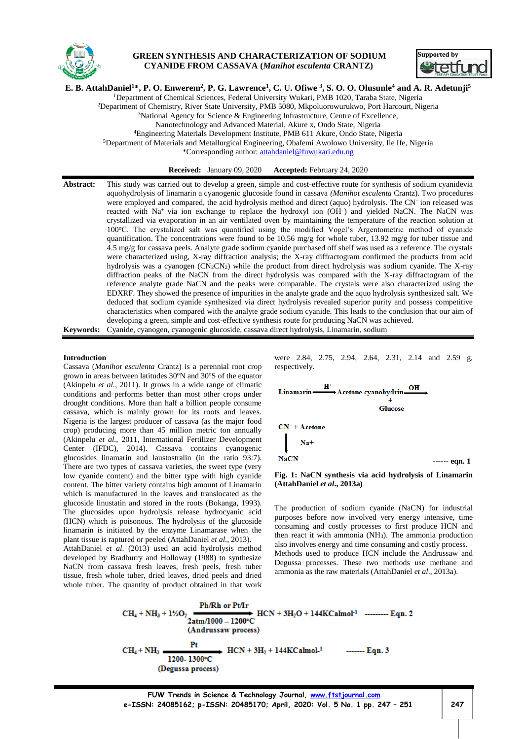

# **GREEN SYNTHESIS AND CHARACTERIZATION OF SODIUM CYANIDE FROM CASSAVA (***Manihot esculenta* **CRANTZ)**



**E. B. AttahDaniel<sup>1</sup>\*, P. O. Enwerem<sup>2</sup> , P. G. Lawrence<sup>1</sup> , C. U. Ofiwe <sup>3</sup> , S. O. O. Olusunle<sup>4</sup> and A. R. Adetunji<sup>5</sup>**

<sup>1</sup>Department of Chemical Sciences, Federal University Wukari, PMB 1020, Taraba State, Nigeria

<sup>2</sup>Department of Chemistry, River State University, PMB 5080, Mkpoluorowurukwo, Port Harcourt, Nigeria

<sup>3</sup>National Agency for Science & Engineering Infrastructure, Centre of Excellence,

Nanotechnology and Advanced Material, Akure x, Ondo State, Nigeria

<sup>4</sup>Engineering Materials Development Institute, PMB 611 Akure, Ondo State, Nigeria

<sup>5</sup>Department of Materials and Metallurgical Engineering, Obafemi Awolowo University, Ile Ife, Nigeria

\*Corresponding author[: attahdaniel@fuwukari.edu.ng](mailto:attahdaniel@fuwukari.edu.ng)

**Received:** January 09, 2020 **Accepted:** February 24, 2020

**Abstract:** This study was carried out to develop a green, simple and cost-effective route for synthesis of sodium cyanidevia aquohydrolysis of linamarin a cyanogenic glucoside found in cassava *(Manihot esculenta* Crantz). Two procedures were employed and compared, the acid hydrolysis method and direct (aquo) hydrolysis. The CN<sup>-</sup> ion released was reacted with Na<sup>+</sup> via ion exchange to replace the hydroxyl ion (OH<sup>-</sup>) and yielded NaCN. The NaCN was crystallized via evaporation in an air ventilated oven by maintaining the temperature of the reaction solution at 100°C. The crystalized salt was quantified using the modified Vogel's Argentometric method of cyanide quantification. The concentrations were found to be 10.56 mg/g for whole tuber, 13.92 mg/g for tuber tissue and 4.5 mg/g for cassava peels. Analyte grade sodium cyanide purchased off shelf was used as a reference. The crystals were characterized using, X-ray diffraction analysis; the X-ray diffractogram confirmed the products from acid hydrolysis was a cyanogen (CN<sub>2</sub>CN<sub>2</sub>) while the product from direct hydrolysis was sodium cyanide. The X-ray diffraction peaks of the NaCN from the direct hydrolysis was compared with the X-ray diffractogram of the reference analyte grade NaCN and the peaks were comparable. The crystals were also characterized using the EDXRF. They showed the presence of impurities in the analyte grade and the aquo hydrolysis synthesized salt. We deduced that sodium cyanide synthesized via direct hydrolysis revealed superior purity and possess competitive characteristics when compared with the analyte grade sodium cyanide. This leads to the conclusion that our aim of developing a green, simple and cost-effective synthesis route for producing NaCN was achieved. **Keywords:** Cyanide, cyanogen, cyanogenic glucoside, cassava direct hydrolysis, Linamarin, sodium

**Introduction**

Cassava (*Manihot esculenta* Crantz) is a perennial root crop grown in areas between latitudes  $30^{\circ}$ N and  $30^{\circ}$ S of the equator (Akinpelu *et al.*, 2011). It grows in a wide range of climatic conditions and performs better than most other crops under drought conditions. More than half a billion people consume cassava, which is mainly grown for its roots and leaves. Nigeria is the largest producer of cassava (as the major food crop) producing more than 45 million metric ton annually (Akinpelu *et al.*, 2011, International Fertilizer Development Center (IFDC), 2014). Cassava contains cyanogenic glucosides linamarin and laustostralin (in the ratio 93:7). There are two types of cassava varieties, the sweet type (very low cyanide content) and the bitter type with high cyanide content. The bitter variety contains high amount of Linamarin which is manufactured in the leaves and translocated as the glucoside linustatin and stored in the roots (Bokanga, 1993). The glucosides upon hydrolysis release hydrocyanic acid (HCN) which is poisonous. The hydrolysis of the glucoside linamarin is initiated by the enzyme Linamarase when the plant tissue is raptured or peeled (AttahDaniel *et al*., 2013). AttahDaniel *et al*. (2013) used an acid hydrolysis method developed by Bradburry and Holloway (1988) to synthesize NaCN from cassava fresh leaves, fresh peels, fresh tuber tissue, fresh whole tuber, dried leaves, dried peels and dried

whole tuber. The quantity of product obtained in that work

were 2.84, 2.75, 2.94, 2.64, 2.31, 2.14 and 2.59 g, respectively.

$$
\begin{array}{ccc}\n\text{Linamarin} & \xrightarrow{H^+} \text{Acetone cyanohydrin} & \xrightarrow{OH^-} \\
& & & \downarrow \\
\text{Glucose} & & \\
\text{CN}^- + \text{Acetone} & & \\
\text{Na}^+ & & \\
\text{NaCN} & & \dots \text{eqn. 1}\n\end{array}
$$



The production of sodium cyanide (NaCN) for industrial purposes before now involved very energy intensive, time consuming and costly processes to first produce HCN and then react it with ammonia  $(NH_3)$ . The ammonia production also involves energy and time consuming and costly process. Methods used to produce HCN include the Andrussaw and Degussa processes. These two methods use methane and ammonia as the raw materials (AttahDaniel *et al*., 2013a).

CH<sub>4</sub> + NH<sub>3</sub> + 1½O<sub>2</sub>  
\n
$$
2atm/1000 - 1200°C
$$
\n(Andrussaw process)  
\nCH<sub>4</sub> + NH<sub>3</sub>  
\n
$$
Pt
$$
\nHCN + 3H<sub>2</sub>O + 144KCalmol<sup>-1</sup> ......... Eqn. 2  
\nHCN + 3H<sub>2</sub> + 144KCalmol<sup>-1</sup>  
\n1200-1300°C  
\n(Degussa process)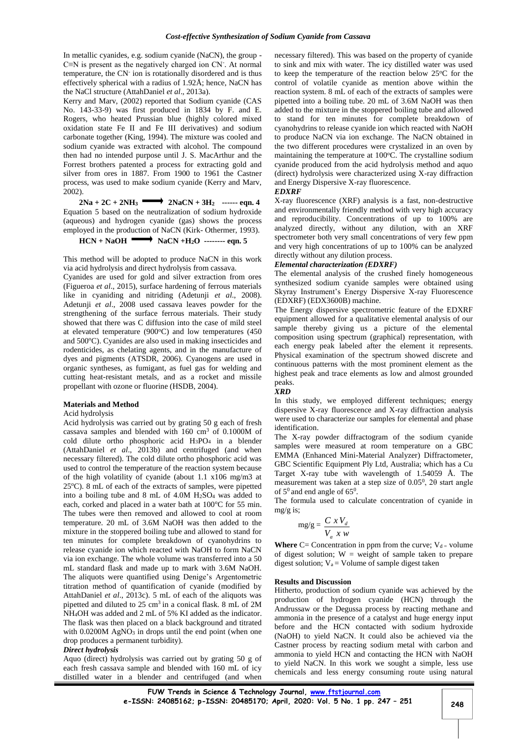In metallic cyanides, e.g. sodium cyanide (NaCN), the group - C≡N is present as the negatively charged ion CN- . At normal temperature, the CN-ion is rotationally disordered and is thus effectively spherical with a radius of 1.92Å; hence, NaCN has the NaCl structure (AttahDaniel *et al*., 2013a).

Kerry and Marv, (2002) reported that Sodium cyanide (CAS No. 143-33-9) was first produced in 1834 by F. and E. Rogers, who heated Prussian blue (highly colored mixed oxidation state Fe II and Fe III derivatives) and sodium carbonate together (King, 1994). The mixture was cooled and sodium cyanide was extracted with alcohol. The compound then had no intended purpose until J. S. MacArthur and the Forrest brothers patented a process for extracting gold and silver from ores in 1887. From 1900 to 1961 the Castner process, was used to make sodium cyanide (Kerry and Marv, 2002).

 $2Na + 2C + 2NH_3$   $\longrightarrow$   $2NaCN + 3H_2$  **------** eqn. 4 Equation 5 based on the neutralization of sodium hydroxide (aqueous) and hydrogen cyanide (gas) shows the process employed in the production of NaCN (Kirk- Othermer, 1993).

$$
HCN + NaOH \longrightarrow NaCN + H_2O \cdots \cdots \cdots \cdots \cdots
$$

This method will be adopted to produce NaCN in this work via acid hydrolysis and direct hydrolysis from cassava.

Cyanides are used for gold and silver extraction from ores (Figueroa *et al*., 2015), surface hardening of ferrous materials like in cyaniding and nitriding (Adetunji *et al*., 2008). Adetunji *et al*., 2008 used cassava leaves powder for the strengthening of the surface ferrous materials. Their study showed that there was C diffusion into the case of mild steel at elevated temperature (900 $^{\circ}$ C) and low temperatures (450 and 500°C). Cyanides are also used in making insecticides and rodenticides, as chelating agents, and in the manufacture of dyes and pigments (ATSDR, 2006). Cyanogens are used in organic syntheses, as fumigant, as fuel gas for welding and cutting heat-resistant metals, and as a rocket and missile propellant with ozone or fluorine (HSDB, 2004).

#### **Materials and Method**

#### Acid hydrolysis

Acid hydrolysis was carried out by grating 50 g each of fresh cassava samples and blended with 160 cm<sup>3</sup> of 0.1000M of cold dilute ortho phosphoric acid H3PO<sup>4</sup> in a blender (AttahDaniel *et al*., 2013b) and centrifuged (and when necessary filtered). The cold dilute ortho phosphoric acid was used to control the temperature of the reaction system because of the high volatility of cyanide (about 1.1 x106 mg/m3 at  $25^{\circ}$ C). 8 mL of each of the extracts of samples, were pipetted into a boiling tube and 8 mL of 4.0M H2SO<sup>4</sup> was added to each, corked and placed in a water bath at  $100^{\circ}$ C for 55 min. The tubes were then removed and allowed to cool at room temperature. 20 mL of 3.6M NaOH was then added to the mixture in the stoppered boiling tube and allowed to stand for ten minutes for complete breakdown of cyanohydrins to release cyanide ion which reacted with NaOH to form NaCN via ion exchange. The whole volume was transferred into a 50 mL standard flask and made up to mark with 3.6M NaOH. The aliquots were quantified using Denige's Argentometric titration method of quantification of cyanide (modified by AttahDaniel *et al*., 2013c). 5 mL of each of the aliquots was pipetted and diluted to 25 cm<sup>3</sup> in a conical flask. 8 mL of 2M NH4OH was added and 2 mL of 5% KI added as the indicator. The flask was then placed on a black background and titrated with 0.0200M AgNO<sub>3</sub> in drops until the end point (when one drop produces a permanent turbidity).

# *Direct hydrolysis*

Aquo (direct) hydrolysis was carried out by grating 50 g of each fresh cassava sample and blended with 160 mL of icy distilled water in a blender and centrifuged (and when

necessary filtered). This was based on the property of cyanide to sink and mix with water. The icy distilled water was used to keep the temperature of the reaction below  $25^{\circ}$ C for the control of volatile cyanide as mention above within the reaction system. 8 mL of each of the extracts of samples were pipetted into a boiling tube. 20 mL of 3.6M NaOH was then added to the mixture in the stoppered boiling tube and allowed to stand for ten minutes for complete breakdown of cyanohydrins to release cyanide ion which reacted with NaOH to produce NaCN via ion exchange. The NaCN obtained in the two different procedures were crystalized in an oven by maintaining the temperature at  $100^{\circ}$ C. The crystalline sodium cyanide produced from the acid hydrolysis method and aquo (direct) hydrolysis were characterized using X-ray diffraction and Energy Dispersive X-ray fluorescence.

### *EDXRF*

X-ray fluorescence (XRF) analysis is a fast, non-destructive and environmentally friendly method with very high accuracy and reproducibility. Concentrations of up to 100% are analyzed directly, without any dilution, with an XRF spectrometer both very small concentrations of very few ppm and very high concentrations of up to 100% can be analyzed directly without any dilution process.

## *Elemental characterization (EDXRF)*

The elemental analysis of the crushed finely homogeneous synthesized sodium cyanide samples were obtained using Skyray Instrument's Energy Dispersive X-ray Fluorescence (EDXRF) (EDX3600B) machine.

The Energy dispersive spectrometric feature of the EDXRF equipment allowed for a qualitative elemental analysis of our sample thereby giving us a picture of the elemental composition using spectrum (graphical) representation, with each energy peak labeled after the element it represents. Physical examination of the spectrum showed discrete and continuous patterns with the most prominent element as the highest peak and trace elements as low and almost grounded peaks.

### *XRD*

In this study, we employed different techniques; energy dispersive X-ray fluorescence and X-ray diffraction analysis were used to characterize our samples for elemental and phase identification.

The X-ray powder diffractogram of the sodium cyanide samples were measured at room temperature on a GBC EMMA (Enhanced Mini-Material Analyzer) Diffractometer, GBC Scientific Equipment Ply Ltd, Australia; which has a Cu Target X-ray tube with wavelength of 1.54059 Å. The measurement was taken at a step size of  $0.05^{\circ}$ ,  $2\theta$  start angle of  $5^0$  and end angle of  $65^0$ .

The formula used to calculate concentration of cyanide in mg/g is;

$$
mg/g = \frac{C \times V_d}{V_a \times w}
$$

**Where**  $C =$  Concentration in ppm from the curve;  $V_{d} =$  volume of digest solution;  $W =$  weight of sample taken to prepare digest solution;  $V_a =$  Volume of sample digest taken

### **Results and Discussion**

Hitherto, production of sodium cyanide was achieved by the production of hydrogen cyanide (HCN) through the Andrussaw or the Degussa process by reacting methane and ammonia in the presence of a catalyst and huge energy input before and the HCN contacted with sodium hydroxide (NaOH) to yield NaCN. It could also be achieved via the Castner process by reacting sodium metal with carbon and ammonia to yield HCN and contacting the HCN with NaOH to yield NaCN. In this work we sought a simple, less use chemicals and less energy consuming route using natural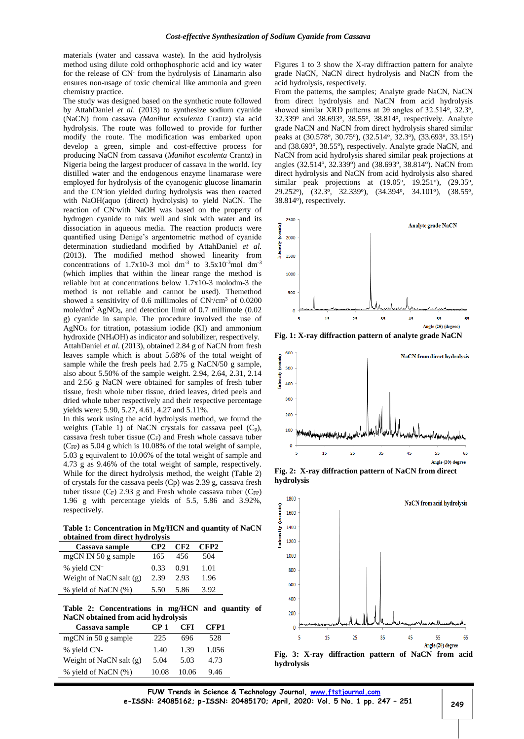materials (water and cassava waste). In the acid hydrolysis method using dilute cold orthophosphoric acid and icy water for the release of CN<sup>-</sup> from the hydrolysis of Linamarin also ensures non-usage of toxic chemical like ammonia and green chemistry practice.

The study was designed based on the synthetic route followed by AttahDaniel *et al*. (2013) to synthesize sodium cyanide (NaCN) from cassava *(Manihut ecsulenta* Crantz) via acid hydrolysis. The route was followed to provide for further modify the route. The modification was embarked upon develop a green, simple and cost-effective process for producing NaCN from cassava (*Manihot esculenta* Crantz) in Nigeria being the largest producer of cassava in the world. Icy distilled water and the endogenous enzyme linamarase were employed for hydrolysis of the cyanogenic glucose linamarin and the CN– ion yielded during hydrolysis was then reacted with NaOH(aquo (direct) hydrolysis) to yield NaCN. The reaction of CN-with NaOH was based on the property of hydrogen cyanide to mix well and sink with water and its dissociation in aqueous media. The reaction products were quantified using Denige's argentometric method of cyanide determination studiedand modified by AttahDaniel *et al.* (2013). The modified method showed linearity from concentrations of 1.7x10-3 mol dm<sup>-3</sup> to  $3.5x10^{-3}$ mol dm<sup>-3</sup> (which implies that within the linear range the method is reliable but at concentrations below 1.7x10-3 molodm-3 the method is not reliable and cannot be used). Themethod showed a sensitivity of 0.6 millimoles of  $CN/cm^3$  of 0.0200 mole/dm<sup>3</sup> AgNO3, and detection limit of 0.7 millimole (0.02 g) cyanide in sample. The procedure involved the use of AgNO<sup>3</sup> for titration, potassium iodide (KI) and ammonium hydroxide (NH4OH) as indicator and solubilizer, respectively. AttahDaniel *et al*. (2013), obtained 2.84 g of NaCN from fresh leaves sample which is about 5.68% of the total weight of sample while the fresh peels had 2.75 g NaCN/50 g sample, also about 5.50% of the sample weight. 2.94, 2.64, 2.31, 2.14 and 2.56 g NaCN were obtained for samples of fresh tuber tissue, fresh whole tuber tissue, dried leaves, dried peels and dried whole tuber respectively and their respective percentage yields were; 5.90, 5.27, 4.61, 4.27 and 5.11%.

In this work using the acid hydrolysis method, we found the weights (Table 1) of NaCN crystals for cassava peel  $(C_p)$ , cassava fresh tuber tissue  $(C_F)$  and Fresh whole cassava tuber  $(C_{FP})$  as 5.04 g which is 10.08% of the total weight of sample, 5.03 g equivalent to 10.06% of the total weight of sample and 4.73 g as 9.46% of the total weight of sample, respectively. While for the direct hydrolysis method, the weight (Table 2) of crystals for the cassava peels (Cp) was 2.39 g, cassava fresh tuber tissue  $(C_F)$  2.93 g and Fresh whole cassava tuber  $(C_{FP})$ 1.96 g with percentage yields of 5.5, 5.86 and 3.92%, respectively.

**Table 1: Concentration in Mg/HCN and quantity of NaCN obtained from direct hydrolysis**

| Cassava sample          | CP2  | CF2  | CFP <sub>2</sub> |
|-------------------------|------|------|------------------|
| mgCN IN 50 g sample     | 165  | 456  | 504              |
| % yield CN <sup>-</sup> | 0.33 | 0.91 | 1.01             |
| Weight of NaCN salt (g) | 2.39 | 2.93 | 1.96             |
| % yield of NaCN (%)     | 5.50 | 5.86 | 3.92             |

**Table 2: Concentrations in mg/HCN and quantity of NaCN obtained from acid hydrolysis** 

| Cassava sample          | CP 1  | CFI   | CFP1  |  |
|-------------------------|-------|-------|-------|--|
| mgCN in $50$ g sample   | 225   | 696   | 528   |  |
| % yield CN-             | 1.40  | 1.39  | 1.056 |  |
| Weight of NaCN salt (g) | 5.04  | 5.03  | 4.73  |  |
| % yield of NaCN (%)     | 10.08 | 10.06 | 9.46  |  |

Figures 1 to 3 show the X-ray diffraction pattern for analyte grade NaCN, NaCN direct hydrolysis and NaCN from the acid hydrolysis, respectively.

From the patterns, the samples; Analyte grade NaCN, NaCN from direct hydrolysis and NaCN from acid hydrolysis showed similar XRD patterns at 2θ angles of 32.514°, 32.3°, 32.339° and 38.693°, 38.55°, 38.814°, respectively. Analyte grade NaCN and NaCN from direct hydrolysis shared similar peaks at (30.578°, 30.75°), (32.514°, 32.3°), (33.693°, 33.15°) and (38.693°, 38.55°), respectively. Analyte grade NaCN, and NaCN from acid hydrolysis shared similar peak projections at angles (32.514°, 32.339°) and (38.693°, 38.814°). NaCN from direct hydrolysis and NaCN from acid hydrolysis also shared similar peak projections at (19.05°, 19.251°), (29.35°, 29.252°), (32.3°, 32.339°), (34.394°, 34.101°), (38.55°, 38.814°), respectively.



**Fig. 1: X-ray diffraction pattern of analyte grade NaCN**



**Fig. 2: X-ray diffraction pattern of NaCN from direct hydrolysis**



**Fig. 3: X-ray diffraction pattern of NaCN from acid hydrolysis**

**FUW Trends in Science & Technology Journal, [www.ftstjournal.com](http://www.ftstjournal.com/) e-ISSN: 24085162; p-ISSN: 20485170; April, 2020: Vol. 5 No. 1 pp. 247 – <sup>251</sup> <sup>249</sup>**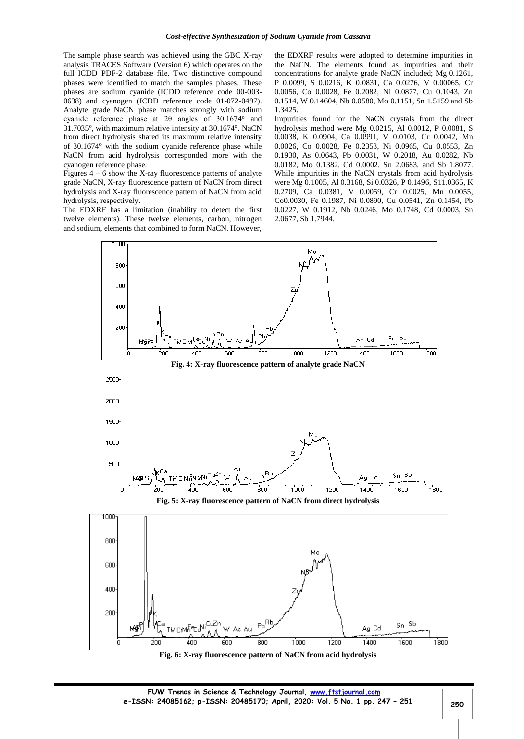The sample phase search was achieved using the GBC X-ray analysis TRACES Software (Version 6) which operates on the full ICDD PDF-2 database file. Two distinctive compound phases were identified to match the samples phases. These phases are sodium cyanide (ICDD reference code 00-003- 0638) and cyanogen (ICDD reference code 01-072-0497). Analyte grade NaCN phase matches strongly with sodium cyanide reference phase at  $2\theta$  angles of  $30.1674^\circ$  and 31.7035°, with maximum relative intensity at 30.1674°. NaCN from direct hydrolysis shared its maximum relative intensity of 30.1674° with the sodium cyanide reference phase while NaCN from acid hydrolysis corresponded more with the cyanogen reference phase.

Figures  $4 - 6$  show the X-ray fluorescence patterns of analyte grade NaCN, X-ray fluorescence pattern of NaCN from direct hydrolysis and X-ray fluorescence pattern of NaCN from acid hydrolysis, respectively.

The EDXRF has a limitation (inability to detect the first twelve elements). These twelve elements, carbon, nitrogen and sodium, elements that combined to form NaCN. However, the EDXRF results were adopted to determine impurities in the NaCN. The elements found as impurities and their concentrations for analyte grade NaCN included; Mg 0.1261, P 0.0099, S 0.0216, K 0.0831, Ca 0.0276, V 0.00065, Cr 0.0056, Co 0.0028, Fe 0.2082, Ni 0.0877, Cu 0.1043, Zn 0.1514, W 0.14604, Nb 0.0580, Mo 0.1151, Sn 1.5159 and Sb 1.3425.

Impurities found for the NaCN crystals from the direct hydrolysis method were Mg 0.0215, Al 0.0012, P 0.0081, S 0.0038, K 0.0904, Ca 0.0991, V 0.0103, Cr 0.0042, Mn 0.0026, Co 0.0028, Fe 0.2353, Ni 0.0965, Cu 0.0553, Zn 0.1930, As 0.0643, Pb 0.0031, W 0.2018, Au 0.0282, Nb 0.0182, Mo 0.1382, Cd 0.0002, Sn 2.0683, and Sb 1.8077. While impurities in the NaCN crystals from acid hydrolysis were Mg 0.1005, Al 0.3168, Si 0.0326, P 0.1496, S11.0365, K 0.2709, Ca 0.0381, V 0.0059, Cr 0.0025, Mn 0.0055, Co0.0030, Fe 0.1987, Ni 0.0890, Cu 0.0541, Zn 0.1454, Pb 0.0227, W 0.1912, Nb 0.0246, Mo 0.1748, Cd 0.0003, Sn 2.0677, Sb 1.7944.